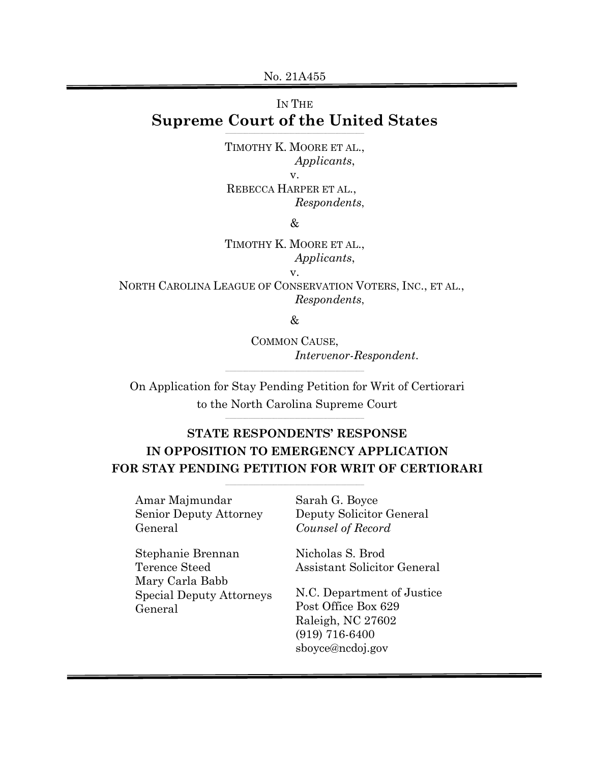No. 21A455

#### IN THE **Supreme Court of the United States \_\_\_\_\_\_\_\_\_\_\_\_\_\_\_\_\_\_\_\_\_\_\_\_\_\_\_\_\_\_\_\_\_\_\_\_\_\_\_\_\_\_\_\_\_\_\_\_\_\_\_\_\_\_\_\_\_\_\_\_\_\_\_\_\_\_\_\_\_\_\_\_**

TIMOTHY K. MOORE ET AL., *Applicants*, v. REBECCA HARPER ET AL., *Respondents*,

&

TIMOTHY K. MOORE ET AL., *Applicants*, v.

NORTH CAROLINA LEAGUE OF CONSERVATION VOTERS, INC., ET AL., *Respondents*,

&

COMMON CAUSE, *Intervenor-Respondent*.

On Application for Stay Pending Petition for Writ of Certiorari to the North Carolina Supreme Court

**\_\_\_\_\_\_\_\_\_\_\_\_\_\_\_\_\_\_\_\_\_\_\_\_\_\_\_\_\_\_\_\_\_\_\_\_\_\_\_\_\_\_\_\_\_\_\_\_\_\_\_\_\_\_\_\_\_\_\_\_\_\_\_\_\_\_\_\_\_\_\_\_**

**\_\_\_\_\_\_\_\_\_\_\_\_\_\_\_\_\_\_\_\_\_\_\_\_\_\_\_\_\_\_\_\_\_\_\_\_\_\_\_\_\_\_\_\_\_\_\_\_\_\_\_\_\_\_\_\_\_\_\_\_\_\_\_\_\_\_\_\_\_\_\_\_**

# **STATE RESPONDENTS' RESPONSE IN OPPOSITION TO EMERGENCY APPLICATION FOR STAY PENDING PETITION FOR WRIT OF CERTIORARI**

**\_\_\_\_\_\_\_\_\_\_\_\_\_\_\_\_\_\_\_\_\_\_\_\_\_\_\_\_\_\_\_\_\_\_\_\_\_\_\_\_\_\_\_\_\_\_\_\_\_\_\_\_\_\_\_\_\_\_\_\_\_\_\_\_\_\_\_\_\_\_\_\_**

Amar Majmundar Senior Deputy Attorney General

Sarah G. Boyce Deputy Solicitor General *Counsel of Record*

Stephanie Brennan Terence Steed Mary Carla Babb Special Deputy Attorneys General

Nicholas S. Brod Assistant Solicitor General

N.C. Department of Justice Post Office Box 629 Raleigh, NC 27602 (919) 716-6400 sboyce@ncdoj.gov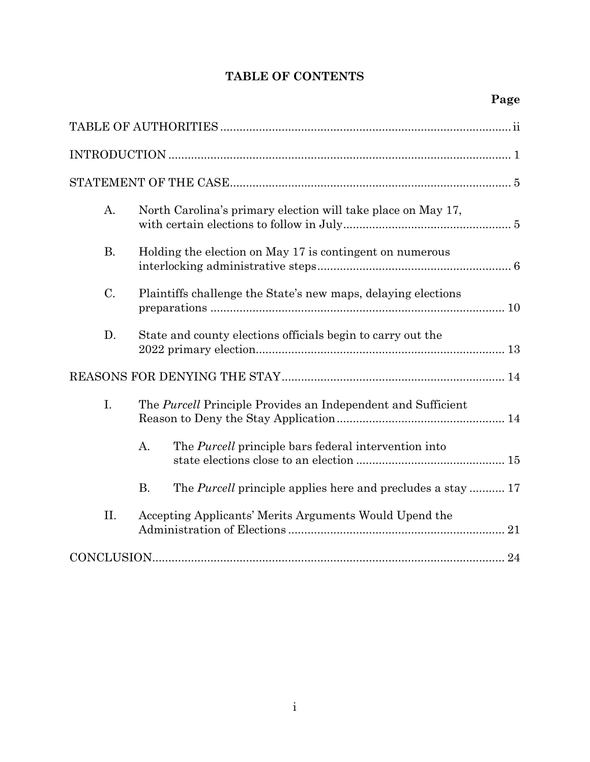# **TABLE OF CONTENTS**

# **Page**

| A.        | North Carolina's primary election will take place on May 17,                    |
|-----------|---------------------------------------------------------------------------------|
| <b>B.</b> | Holding the election on May 17 is contingent on numerous                        |
| $C$ .     | Plaintiffs challenge the State's new maps, delaying elections                   |
| D.        | State and county elections officials begin to carry out the                     |
|           |                                                                                 |
| I.        | The Purcell Principle Provides an Independent and Sufficient                    |
|           | $\mathbf{A}$ .<br>The <i>Purcell</i> principle bars federal intervention into   |
|           | <b>B.</b><br>The <i>Purcell</i> principle applies here and precludes a stay  17 |
| II.       | Accepting Applicants' Merits Arguments Would Upend the                          |
|           |                                                                                 |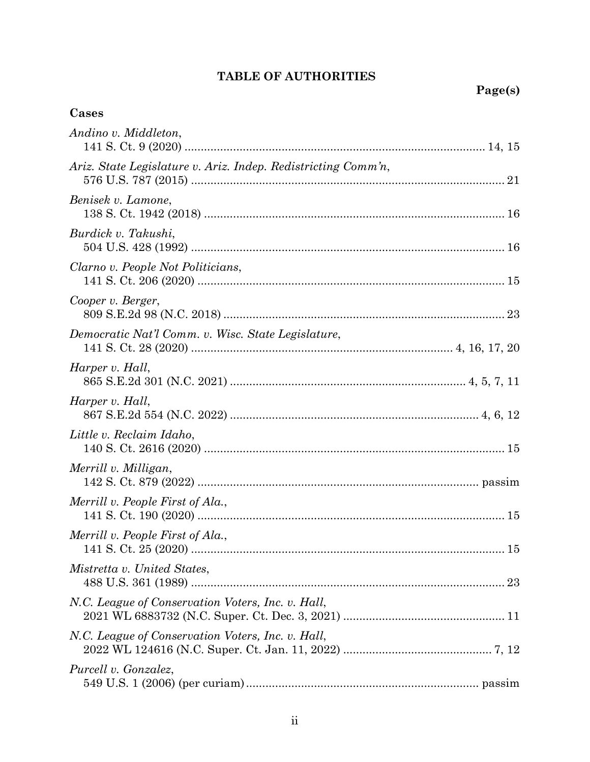# **TABLE OF AUTHORITIES**

## **Cases**

| Andino v. Middleton,                                          |  |
|---------------------------------------------------------------|--|
| Ariz. State Legislature v. Ariz. Indep. Redistricting Comm'n, |  |
| Benisek v. Lamone,                                            |  |
| Burdick v. Takushi,                                           |  |
| Clarno v. People Not Politicians,                             |  |
| Cooper v. Berger,                                             |  |
| Democratic Nat'l Comm. v. Wisc. State Legislature,            |  |
| Harper v. Hall,                                               |  |
| Harper v. Hall,                                               |  |
| Little v. Reclaim Idaho,                                      |  |
| Merrill v. Milligan,                                          |  |
| Merrill v. People First of Ala.,                              |  |
| Merrill v. People First of Ala.,                              |  |
| Mistretta v. United States,                                   |  |
| N.C. League of Conservation Voters, Inc. v. Hall,             |  |
| N.C. League of Conservation Voters, Inc. v. Hall,             |  |
| Purcell v. Gonzalez,                                          |  |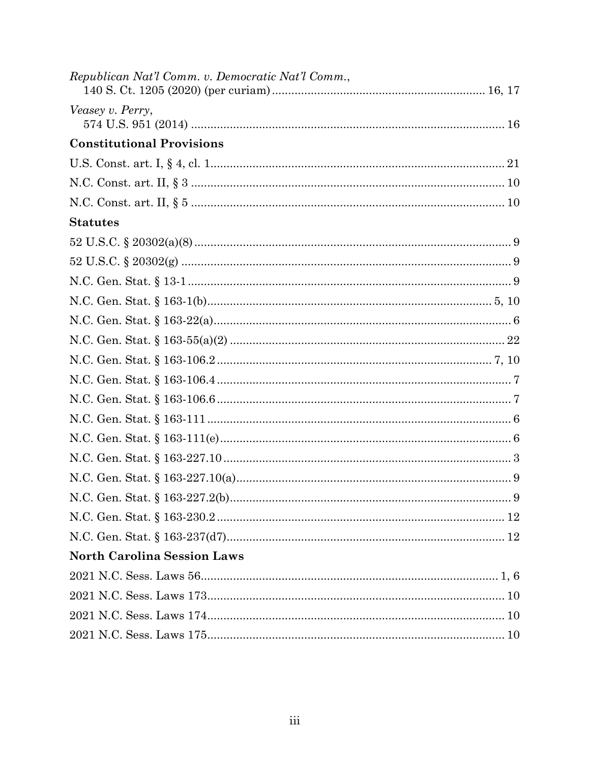| Republican Nat'l Comm. v. Democratic Nat'l Comm., |  |
|---------------------------------------------------|--|
| Veasey v. Perry,                                  |  |
|                                                   |  |
| <b>Constitutional Provisions</b>                  |  |
|                                                   |  |
|                                                   |  |
|                                                   |  |
| <b>Statutes</b>                                   |  |
|                                                   |  |
|                                                   |  |
|                                                   |  |
|                                                   |  |
|                                                   |  |
|                                                   |  |
|                                                   |  |
|                                                   |  |
|                                                   |  |
|                                                   |  |
|                                                   |  |
|                                                   |  |
|                                                   |  |
|                                                   |  |
|                                                   |  |
|                                                   |  |
| <b>North Carolina Session Laws</b>                |  |
|                                                   |  |
|                                                   |  |
|                                                   |  |
|                                                   |  |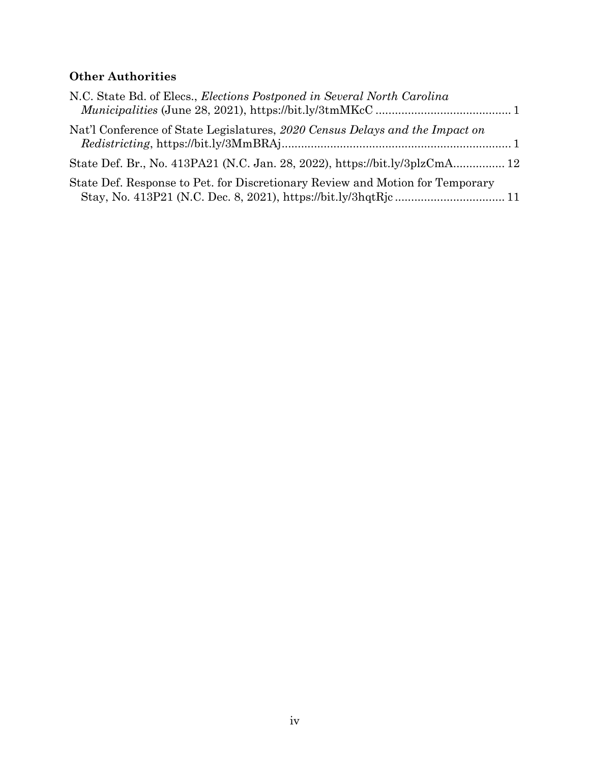## **Other Authorities**

| N.C. State Bd. of Elecs., <i>Elections Postponed in Several North Carolina</i> |  |
|--------------------------------------------------------------------------------|--|
| Nat'l Conference of State Legislatures, 2020 Census Delays and the Impact on   |  |
| State Def. Br., No. 413PA21 (N.C. Jan. 28, 2022), https://bit.ly/3plzCmA 12    |  |
| State Def. Response to Pet. for Discretionary Review and Motion for Temporary  |  |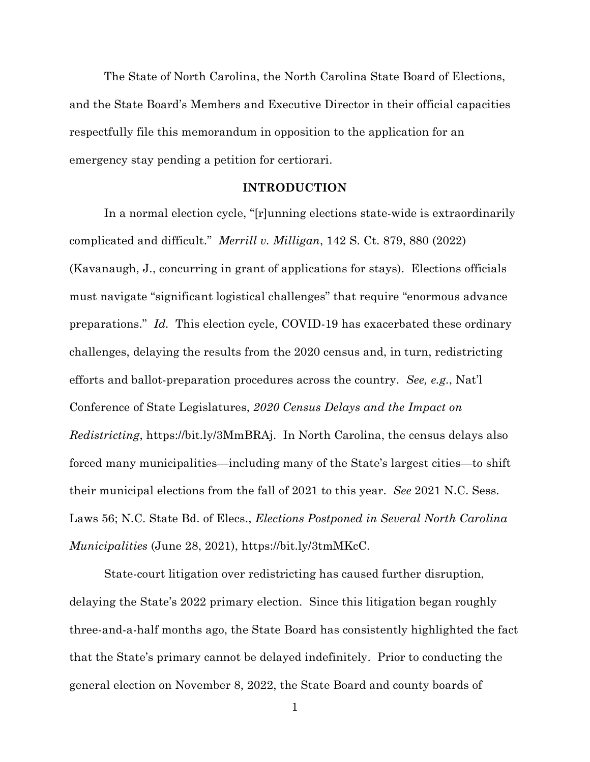The State of North Carolina, the North Carolina State Board of Elections, and the State Board's Members and Executive Director in their official capacities respectfully file this memorandum in opposition to the application for an emergency stay pending a petition for certiorari.

#### **INTRODUCTION**

In a normal election cycle, "[r]unning elections state-wide is extraordinarily complicated and difficult." *Merrill v. Milligan*, 142 S. Ct. 879, 880 (2022) (Kavanaugh, J., concurring in grant of applications for stays). Elections officials must navigate "significant logistical challenges" that require "enormous advance preparations." *Id.* This election cycle, COVID-19 has exacerbated these ordinary challenges, delaying the results from the 2020 census and, in turn, redistricting efforts and ballot-preparation procedures across the country. *See, e.g.*, Nat'l Conference of State Legislatures, *2020 Census Delays and the Impact on Redistricting*, https://bit.ly/3MmBRAj. In North Carolina, the census delays also forced many municipalities—including many of the State's largest cities—to shift their municipal elections from the fall of 2021 to this year. *See* 2021 N.C. Sess. Laws 56; N.C. State Bd. of Elecs., *Elections Postponed in Several North Carolina Municipalities* (June 28, 2021), https://bit.ly/3tmMKcC.

State-court litigation over redistricting has caused further disruption, delaying the State's 2022 primary election. Since this litigation began roughly three-and-a-half months ago, the State Board has consistently highlighted the fact that the State's primary cannot be delayed indefinitely. Prior to conducting the general election on November 8, 2022, the State Board and county boards of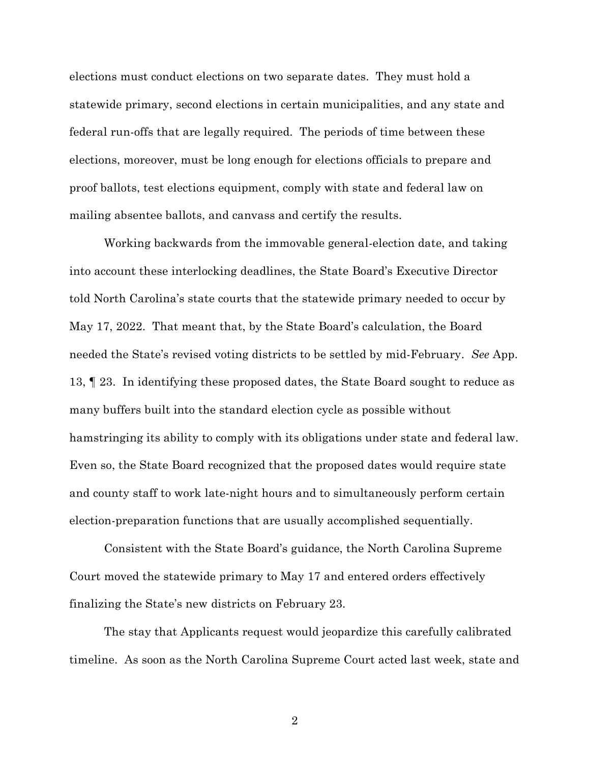elections must conduct elections on two separate dates. They must hold a statewide primary, second elections in certain municipalities, and any state and federal run-offs that are legally required. The periods of time between these elections, moreover, must be long enough for elections officials to prepare and proof ballots, test elections equipment, comply with state and federal law on mailing absentee ballots, and canvass and certify the results.

Working backwards from the immovable general-election date, and taking into account these interlocking deadlines, the State Board's Executive Director told North Carolina's state courts that the statewide primary needed to occur by May 17, 2022. That meant that, by the State Board's calculation, the Board needed the State's revised voting districts to be settled by mid-February. *See* App. 13, ¶ 23. In identifying these proposed dates, the State Board sought to reduce as many buffers built into the standard election cycle as possible without hamstringing its ability to comply with its obligations under state and federal law. Even so, the State Board recognized that the proposed dates would require state and county staff to work late-night hours and to simultaneously perform certain election-preparation functions that are usually accomplished sequentially.

Consistent with the State Board's guidance, the North Carolina Supreme Court moved the statewide primary to May 17 and entered orders effectively finalizing the State's new districts on February 23.

The stay that Applicants request would jeopardize this carefully calibrated timeline. As soon as the North Carolina Supreme Court acted last week, state and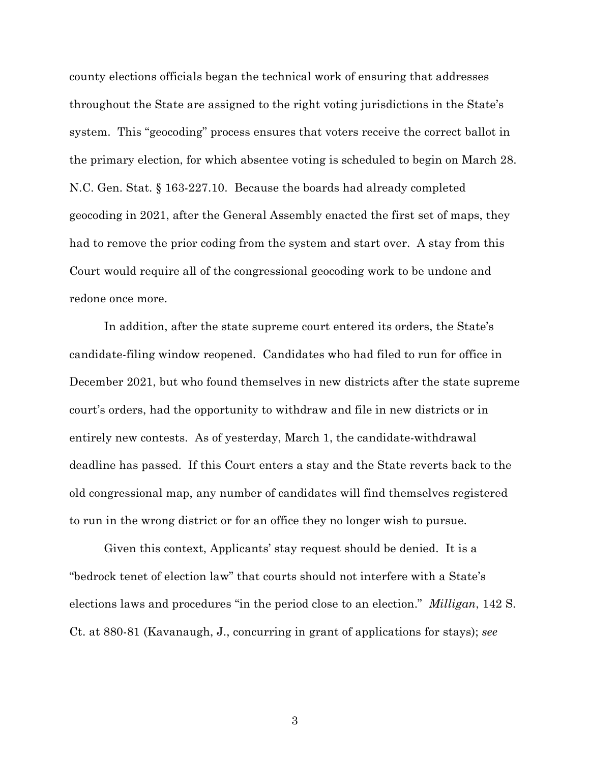county elections officials began the technical work of ensuring that addresses throughout the State are assigned to the right voting jurisdictions in the State's system. This "geocoding" process ensures that voters receive the correct ballot in the primary election, for which absentee voting is scheduled to begin on March 28. N.C. Gen. Stat. § 163-227.10. Because the boards had already completed geocoding in 2021, after the General Assembly enacted the first set of maps, they had to remove the prior coding from the system and start over. A stay from this Court would require all of the congressional geocoding work to be undone and redone once more.

In addition, after the state supreme court entered its orders, the State's candidate-filing window reopened. Candidates who had filed to run for office in December 2021, but who found themselves in new districts after the state supreme court's orders, had the opportunity to withdraw and file in new districts or in entirely new contests. As of yesterday, March 1, the candidate-withdrawal deadline has passed. If this Court enters a stay and the State reverts back to the old congressional map, any number of candidates will find themselves registered to run in the wrong district or for an office they no longer wish to pursue.

Given this context, Applicants' stay request should be denied. It is a "bedrock tenet of election law" that courts should not interfere with a State's elections laws and procedures "in the period close to an election." *Milligan*, 142 S. Ct. at 880-81 (Kavanaugh, J., concurring in grant of applications for stays); *see*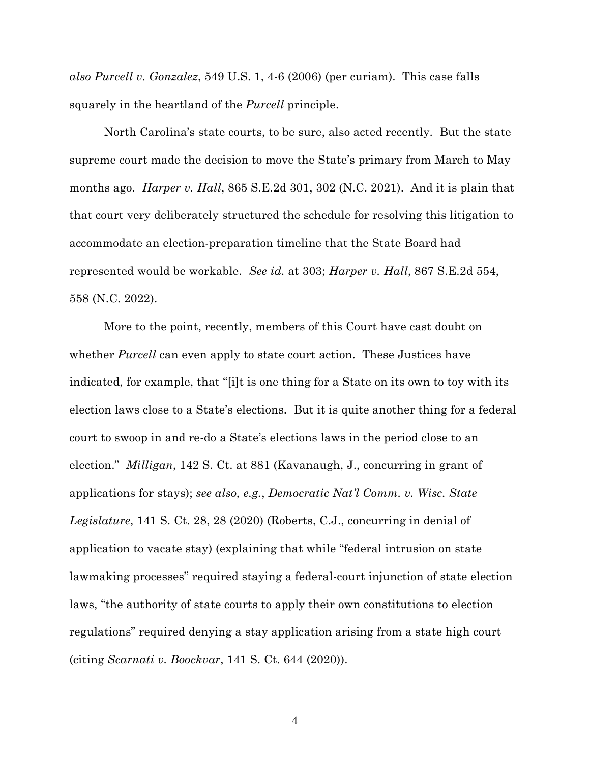*also Purcell v. Gonzalez*, 549 U.S. 1, 4-6 (2006) (per curiam). This case falls squarely in the heartland of the *Purcell* principle.

North Carolina's state courts, to be sure, also acted recently. But the state supreme court made the decision to move the State's primary from March to May months ago. *Harper v. Hall*, 865 S.E.2d 301, 302 (N.C. 2021). And it is plain that that court very deliberately structured the schedule for resolving this litigation to accommodate an election-preparation timeline that the State Board had represented would be workable. *See id.* at 303; *Harper v. Hall*, 867 S.E.2d 554, 558 (N.C. 2022).

More to the point, recently, members of this Court have cast doubt on whether *Purcell* can even apply to state court action. These Justices have indicated, for example, that "[i]t is one thing for a State on its own to toy with its election laws close to a State's elections. But it is quite another thing for a federal court to swoop in and re-do a State's elections laws in the period close to an election." *Milligan*, 142 S. Ct. at 881 (Kavanaugh, J., concurring in grant of applications for stays); *see also, e.g.*, *Democratic Nat'l Comm. v. Wisc. State Legislature*, 141 S. Ct. 28, 28 (2020) (Roberts, C.J., concurring in denial of application to vacate stay) (explaining that while "federal intrusion on state lawmaking processes" required staying a federal-court injunction of state election laws, "the authority of state courts to apply their own constitutions to election regulations" required denying a stay application arising from a state high court (citing *Scarnati v. Boockvar*, 141 S. Ct. 644 (2020)).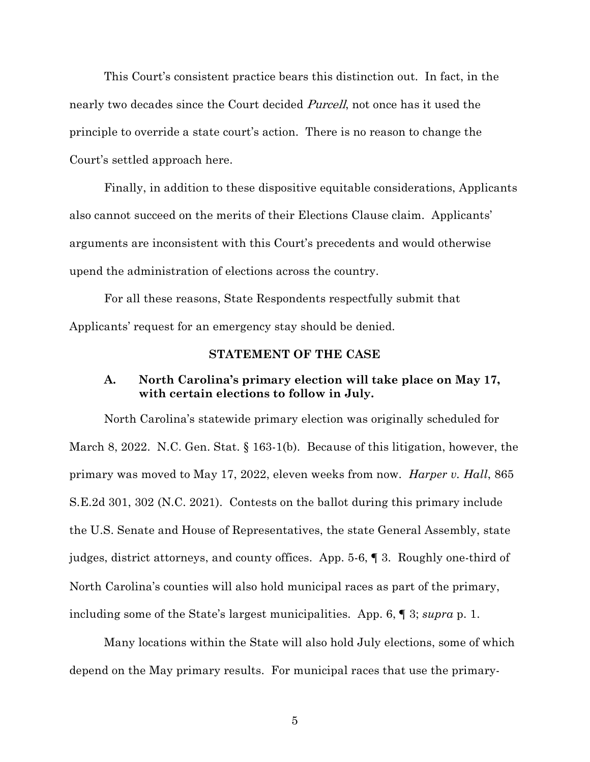This Court's consistent practice bears this distinction out. In fact, in the nearly two decades since the Court decided *Purcell*, not once has it used the principle to override a state court's action. There is no reason to change the Court's settled approach here.

Finally, in addition to these dispositive equitable considerations, Applicants also cannot succeed on the merits of their Elections Clause claim. Applicants' arguments are inconsistent with this Court's precedents and would otherwise upend the administration of elections across the country.

For all these reasons, State Respondents respectfully submit that Applicants' request for an emergency stay should be denied.

#### **STATEMENT OF THE CASE**

### **A. North Carolina's primary election will take place on May 17, with certain elections to follow in July.**

North Carolina's statewide primary election was originally scheduled for March 8, 2022. N.C. Gen. Stat. § 163-1(b). Because of this litigation, however, the primary was moved to May 17, 2022, eleven weeks from now. *Harper v. Hall*, 865 S.E.2d 301, 302 (N.C. 2021). Contests on the ballot during this primary include the U.S. Senate and House of Representatives, the state General Assembly, state judges, district attorneys, and county offices. App. 5-6, ¶ 3. Roughly one-third of North Carolina's counties will also hold municipal races as part of the primary, including some of the State's largest municipalities. App. 6, ¶ 3; *supra* p. 1.

Many locations within the State will also hold July elections, some of which depend on the May primary results. For municipal races that use the primary-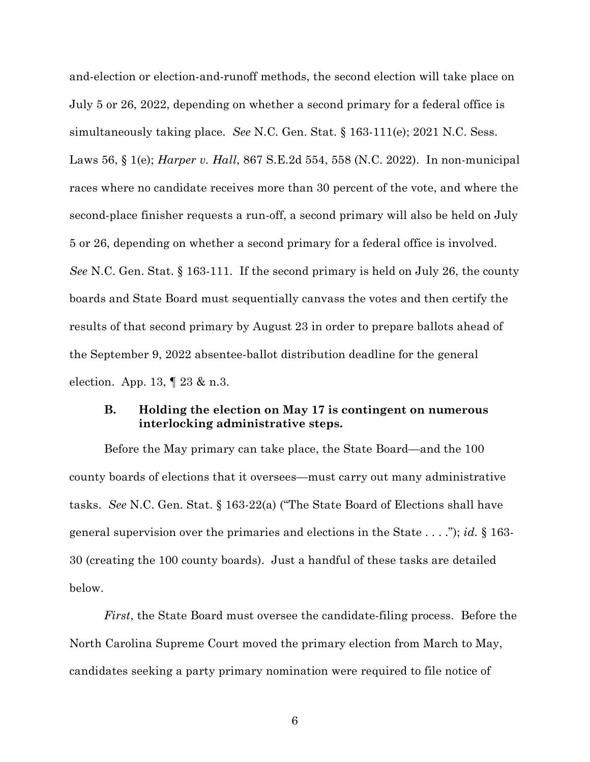and-election or election-and-runoff methods, the second election will take place on July 5 or 26, 2022, depending on whether a second primary for a federal office is simultaneously taking place. *See* N.C. Gen. Stat. § 163-111(e); 2021 N.C. Sess. Laws 56, § 1(e); *Harper v. Hall*, 867 S.E.2d 554, 558 (N.C. 2022). In non-municipal races where no candidate receives more than 30 percent of the vote, and where the second-place finisher requests a run-off, a second primary will also be held on July 5 or 26, depending on whether a second primary for a federal office is involved. *See* N.C. Gen. Stat. § 163-111. If the second primary is held on July 26, the county boards and State Board must sequentially canvass the votes and then certify the results of that second primary by August 23 in order to prepare ballots ahead of the September 9, 2022 absentee-ballot distribution deadline for the general election. App. 13, ¶ 23 & n.3.

### **B. Holding the election on May 17 is contingent on numerous interlocking administrative steps.**

Before the May primary can take place, the State Board—and the 100 county boards of elections that it oversees—must carry out many administrative tasks. *See* N.C. Gen. Stat. § 163-22(a) ("The State Board of Elections shall have general supervision over the primaries and elections in the State . . . ."); *id.* § 163- 30 (creating the 100 county boards). Just a handful of these tasks are detailed below.

*First*, the State Board must oversee the candidate-filing process. Before the North Carolina Supreme Court moved the primary election from March to May, candidates seeking a party primary nomination were required to file notice of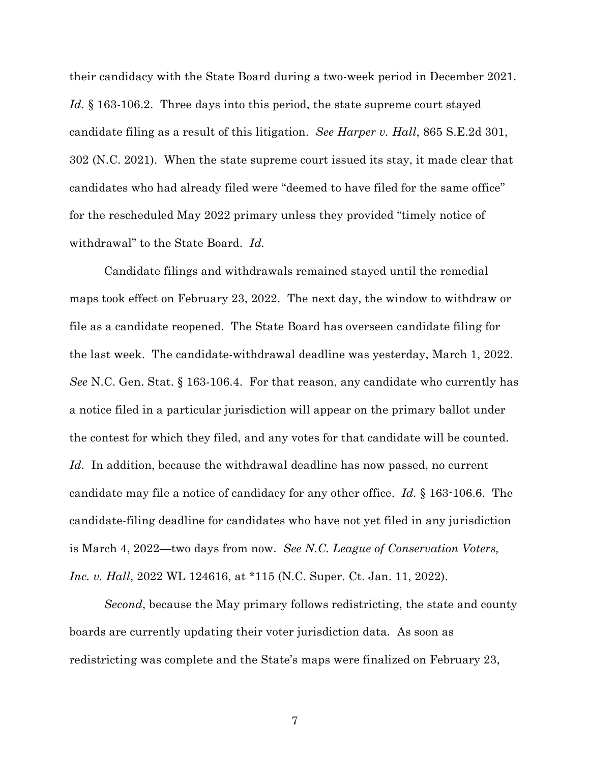their candidacy with the State Board during a two-week period in December 2021. *Id.* § 163-106.2. Three days into this period, the state supreme court stayed candidate filing as a result of this litigation. *See Harper v. Hall*, 865 S.E.2d 301, 302 (N.C. 2021). When the state supreme court issued its stay, it made clear that candidates who had already filed were "deemed to have filed for the same office" for the rescheduled May 2022 primary unless they provided "timely notice of withdrawal" to the State Board. *Id.*

Candidate filings and withdrawals remained stayed until the remedial maps took effect on February 23, 2022. The next day, the window to withdraw or file as a candidate reopened. The State Board has overseen candidate filing for the last week. The candidate-withdrawal deadline was yesterday, March 1, 2022. *See* N.C. Gen. Stat. § 163-106.4. For that reason, any candidate who currently has a notice filed in a particular jurisdiction will appear on the primary ballot under the contest for which they filed, and any votes for that candidate will be counted. *Id.* In addition, because the withdrawal deadline has now passed, no current candidate may file a notice of candidacy for any other office. *Id.* § 163-106.6. The candidate-filing deadline for candidates who have not yet filed in any jurisdiction is March 4, 2022—two days from now. *See N.C. League of Conservation Voters, Inc. v. Hall*, 2022 WL 124616, at \*115 (N.C. Super. Ct. Jan. 11, 2022).

*Second*, because the May primary follows redistricting, the state and county boards are currently updating their voter jurisdiction data. As soon as redistricting was complete and the State's maps were finalized on February 23,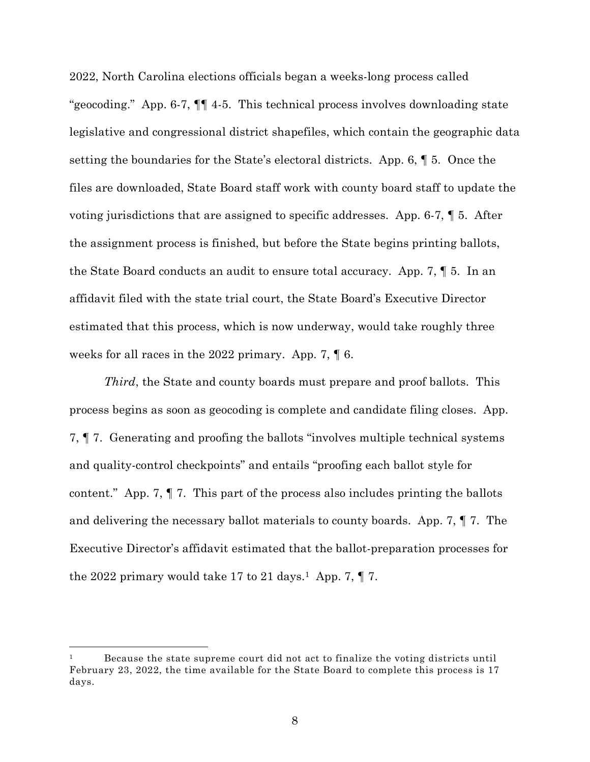2022, North Carolina elections officials began a weeks-long process called "geocoding." App. 6-7, ¶¶ 4-5. This technical process involves downloading state legislative and congressional district shapefiles, which contain the geographic data setting the boundaries for the State's electoral districts. App. 6, ¶ 5. Once the files are downloaded, State Board staff work with county board staff to update the voting jurisdictions that are assigned to specific addresses. App. 6-7, ¶ 5. After the assignment process is finished, but before the State begins printing ballots, the State Board conducts an audit to ensure total accuracy. App. 7, ¶ 5. In an affidavit filed with the state trial court, the State Board's Executive Director estimated that this process, which is now underway, would take roughly three weeks for all races in the 2022 primary. App. 7, ¶ 6.

*Third*, the State and county boards must prepare and proof ballots. This process begins as soon as geocoding is complete and candidate filing closes. App. 7, ¶ 7. Generating and proofing the ballots "involves multiple technical systems and quality-control checkpoints" and entails "proofing each ballot style for content." App. 7, ¶ 7. This part of the process also includes printing the ballots and delivering the necessary ballot materials to county boards. App. 7, ¶ 7. The Executive Director's affidavit estimated that the ballot-preparation processes for the 2022 primary would take 17 to 21 days.<sup>1</sup> App. 7,  $\P$  7.

 <sup>1</sup> Because the state supreme court did not act to finalize the voting districts until February 23, 2022, the time available for the State Board to complete this process is 17 days.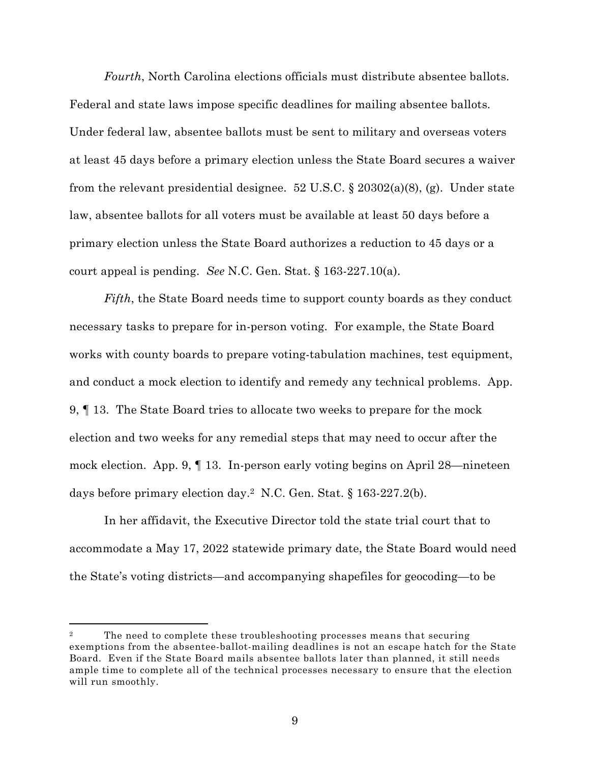*Fourth*, North Carolina elections officials must distribute absentee ballots. Federal and state laws impose specific deadlines for mailing absentee ballots. Under federal law, absentee ballots must be sent to military and overseas voters at least 45 days before a primary election unless the State Board secures a waiver from the relevant presidential designee. 52 U.S.C. § 20302(a)(8), (g). Under state law, absentee ballots for all voters must be available at least 50 days before a primary election unless the State Board authorizes a reduction to 45 days or a court appeal is pending. *See* N.C. Gen. Stat. § 163-227.10(a).

*Fifth*, the State Board needs time to support county boards as they conduct necessary tasks to prepare for in-person voting. For example, the State Board works with county boards to prepare voting-tabulation machines, test equipment, and conduct a mock election to identify and remedy any technical problems. App. 9, ¶ 13. The State Board tries to allocate two weeks to prepare for the mock election and two weeks for any remedial steps that may need to occur after the mock election. App. 9, ¶ 13. In-person early voting begins on April 28—nineteen days before primary election day.2 N.C. Gen. Stat. § 163-227.2(b).

In her affidavit, the Executive Director told the state trial court that to accommodate a May 17, 2022 statewide primary date, the State Board would need the State's voting districts—and accompanying shapefiles for geocoding—to be

 <sup>2</sup> The need to complete these troubleshooting processes means that securing exemptions from the absentee-ballot-mailing deadlines is not an escape hatch for the State Board. Even if the State Board mails absentee ballots later than planned, it still needs ample time to complete all of the technical processes necessary to ensure that the election will run smoothly.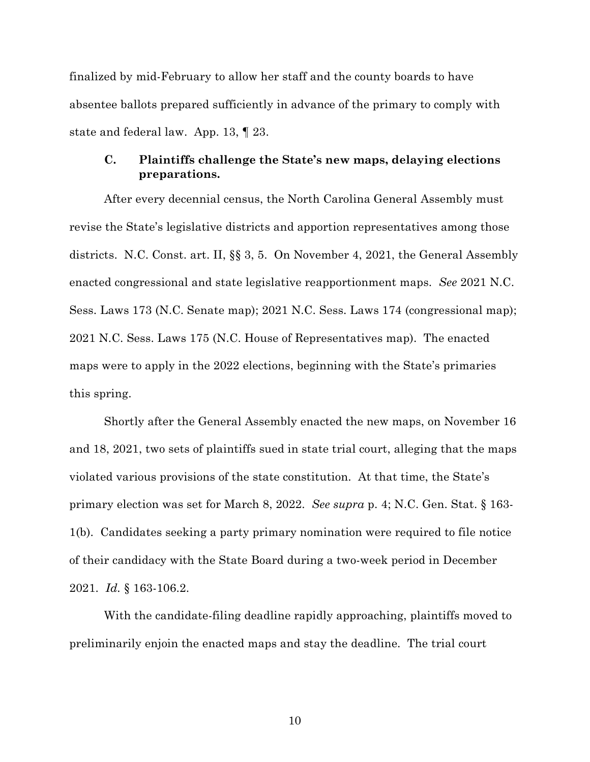finalized by mid-February to allow her staff and the county boards to have absentee ballots prepared sufficiently in advance of the primary to comply with state and federal law. App. 13, ¶ 23.

### **C. Plaintiffs challenge the State's new maps, delaying elections preparations.**

After every decennial census, the North Carolina General Assembly must revise the State's legislative districts and apportion representatives among those districts. N.C. Const. art. II, §§ 3, 5. On November 4, 2021, the General Assembly enacted congressional and state legislative reapportionment maps. *See* 2021 N.C. Sess. Laws 173 (N.C. Senate map); 2021 N.C. Sess. Laws 174 (congressional map); 2021 N.C. Sess. Laws 175 (N.C. House of Representatives map). The enacted maps were to apply in the 2022 elections, beginning with the State's primaries this spring.

Shortly after the General Assembly enacted the new maps, on November 16 and 18, 2021, two sets of plaintiffs sued in state trial court, alleging that the maps violated various provisions of the state constitution. At that time, the State's primary election was set for March 8, 2022. *See supra* p. 4; N.C. Gen. Stat. § 163- 1(b). Candidates seeking a party primary nomination were required to file notice of their candidacy with the State Board during a two-week period in December 2021. *Id.* § 163-106.2.

With the candidate-filing deadline rapidly approaching, plaintiffs moved to preliminarily enjoin the enacted maps and stay the deadline. The trial court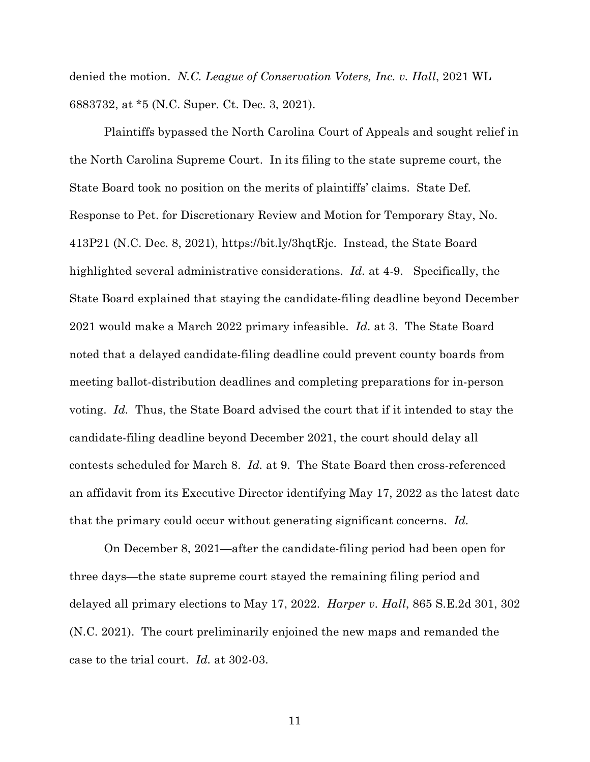denied the motion. *N.C. League of Conservation Voters, Inc. v. Hall*, 2021 WL 6883732, at \*5 (N.C. Super. Ct. Dec. 3, 2021).

Plaintiffs bypassed the North Carolina Court of Appeals and sought relief in the North Carolina Supreme Court. In its filing to the state supreme court, the State Board took no position on the merits of plaintiffs' claims. State Def. Response to Pet. for Discretionary Review and Motion for Temporary Stay, No. 413P21 (N.C. Dec. 8, 2021), https://bit.ly/3hqtRjc. Instead, the State Board highlighted several administrative considerations. *Id.* at 4-9. Specifically, the State Board explained that staying the candidate-filing deadline beyond December 2021 would make a March 2022 primary infeasible. *Id.* at 3. The State Board noted that a delayed candidate-filing deadline could prevent county boards from meeting ballot-distribution deadlines and completing preparations for in-person voting. *Id.* Thus, the State Board advised the court that if it intended to stay the candidate-filing deadline beyond December 2021, the court should delay all contests scheduled for March 8. *Id.* at 9. The State Board then cross-referenced an affidavit from its Executive Director identifying May 17, 2022 as the latest date that the primary could occur without generating significant concerns. *Id.*

On December 8, 2021—after the candidate-filing period had been open for three days—the state supreme court stayed the remaining filing period and delayed all primary elections to May 17, 2022. *Harper v. Hall*, 865 S.E.2d 301, 302 (N.C. 2021). The court preliminarily enjoined the new maps and remanded the case to the trial court. *Id.* at 302-03.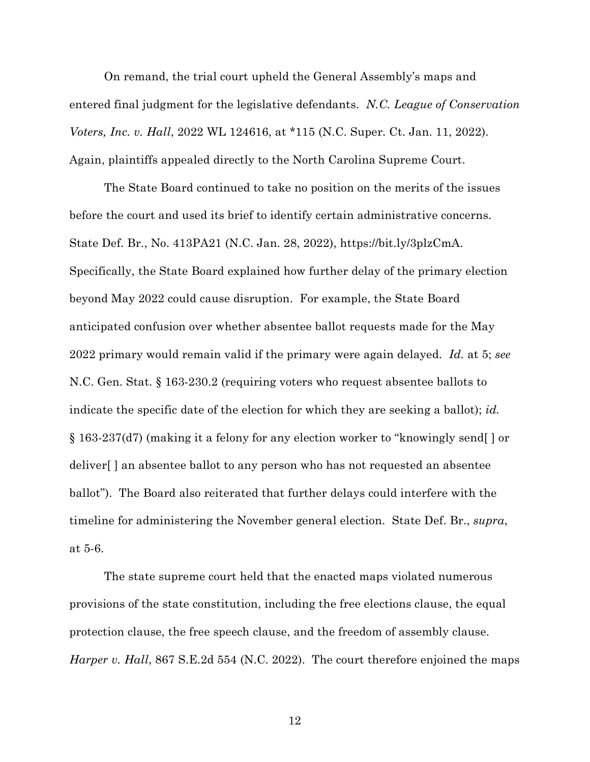On remand, the trial court upheld the General Assembly's maps and entered final judgment for the legislative defendants. *N.C. League of Conservation Voters, Inc. v. Hall*, 2022 WL 124616, at \*115 (N.C. Super. Ct. Jan. 11, 2022). Again, plaintiffs appealed directly to the North Carolina Supreme Court.

The State Board continued to take no position on the merits of the issues before the court and used its brief to identify certain administrative concerns. State Def. Br., No. 413PA21 (N.C. Jan. 28, 2022), https://bit.ly/3plzCmA. Specifically, the State Board explained how further delay of the primary election beyond May 2022 could cause disruption. For example, the State Board anticipated confusion over whether absentee ballot requests made for the May 2022 primary would remain valid if the primary were again delayed. *Id.* at 5; *see* N.C. Gen. Stat. § 163-230.2 (requiring voters who request absentee ballots to indicate the specific date of the election for which they are seeking a ballot); *id.* § 163-237(d7) (making it a felony for any election worker to "knowingly send[ ] or deliver[ ] an absentee ballot to any person who has not requested an absentee ballot"). The Board also reiterated that further delays could interfere with the timeline for administering the November general election. State Def. Br., *supra*, at 5-6.

The state supreme court held that the enacted maps violated numerous provisions of the state constitution, including the free elections clause, the equal protection clause, the free speech clause, and the freedom of assembly clause. *Harper v. Hall*, 867 S.E.2d 554 (N.C. 2022). The court therefore enjoined the maps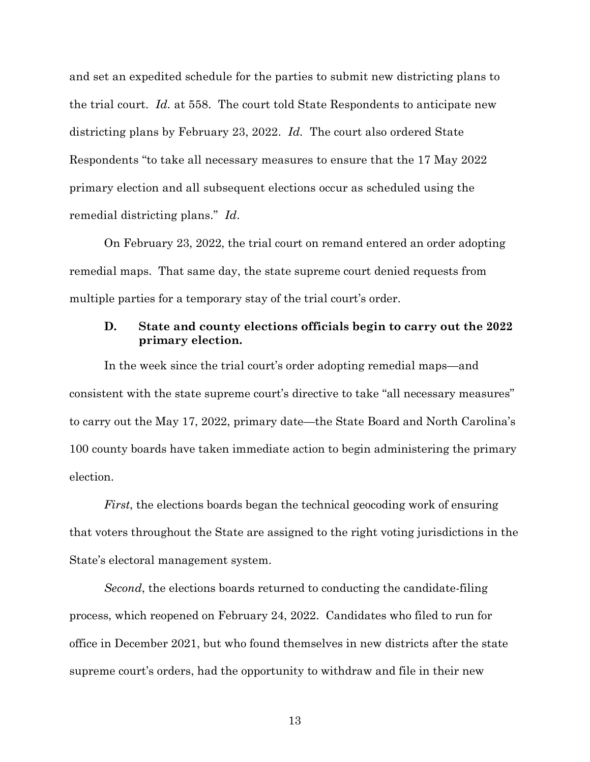and set an expedited schedule for the parties to submit new districting plans to the trial court. *Id.* at 558. The court told State Respondents to anticipate new districting plans by February 23, 2022. *Id.* The court also ordered State Respondents "to take all necessary measures to ensure that the 17 May 2022 primary election and all subsequent elections occur as scheduled using the remedial districting plans." *Id*.

On February 23, 2022, the trial court on remand entered an order adopting remedial maps. That same day, the state supreme court denied requests from multiple parties for a temporary stay of the trial court's order.

### **D. State and county elections officials begin to carry out the 2022 primary election.**

In the week since the trial court's order adopting remedial maps—and consistent with the state supreme court's directive to take "all necessary measures" to carry out the May 17, 2022, primary date—the State Board and North Carolina's 100 county boards have taken immediate action to begin administering the primary election.

*First*, the elections boards began the technical geocoding work of ensuring that voters throughout the State are assigned to the right voting jurisdictions in the State's electoral management system.

*Second*, the elections boards returned to conducting the candidate-filing process, which reopened on February 24, 2022. Candidates who filed to run for office in December 2021, but who found themselves in new districts after the state supreme court's orders, had the opportunity to withdraw and file in their new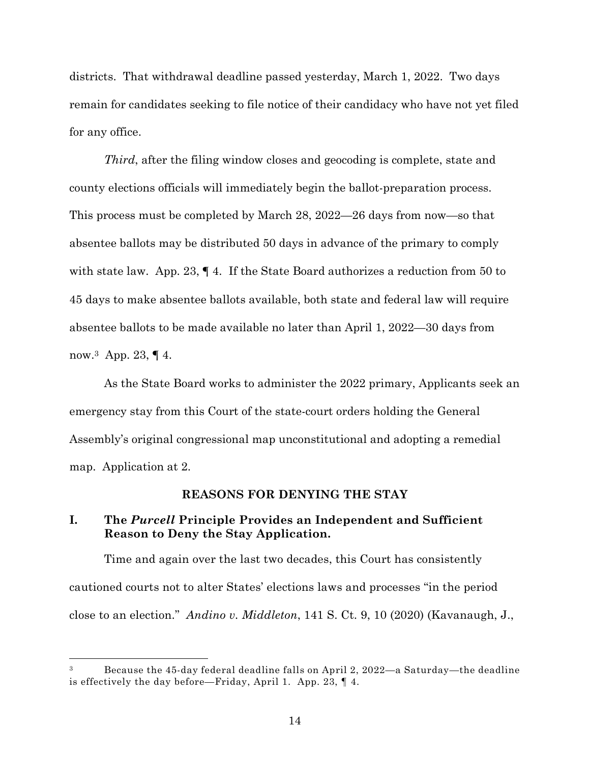districts. That withdrawal deadline passed yesterday, March 1, 2022. Two days remain for candidates seeking to file notice of their candidacy who have not yet filed for any office.

*Third*, after the filing window closes and geocoding is complete, state and county elections officials will immediately begin the ballot-preparation process. This process must be completed by March 28, 2022—26 days from now—so that absentee ballots may be distributed 50 days in advance of the primary to comply with state law. App. 23,  $\P$  4. If the State Board authorizes a reduction from 50 to 45 days to make absentee ballots available, both state and federal law will require absentee ballots to be made available no later than April 1, 2022—30 days from now.3 App. 23, ¶ 4.

As the State Board works to administer the 2022 primary, Applicants seek an emergency stay from this Court of the state-court orders holding the General Assembly's original congressional map unconstitutional and adopting a remedial map. Application at 2.

#### **REASONS FOR DENYING THE STAY**

## **I. The** *Purcell* **Principle Provides an Independent and Sufficient Reason to Deny the Stay Application.**

Time and again over the last two decades, this Court has consistently cautioned courts not to alter States' elections laws and processes "in the period close to an election." *Andino v. Middleton*, 141 S. Ct. 9, 10 (2020) (Kavanaugh, J.,

 <sup>3</sup> Because the 45-day federal deadline falls on April 2, 2022—a Saturday—the deadline is effectively the day before—Friday, April 1. App. 23, ¶ 4.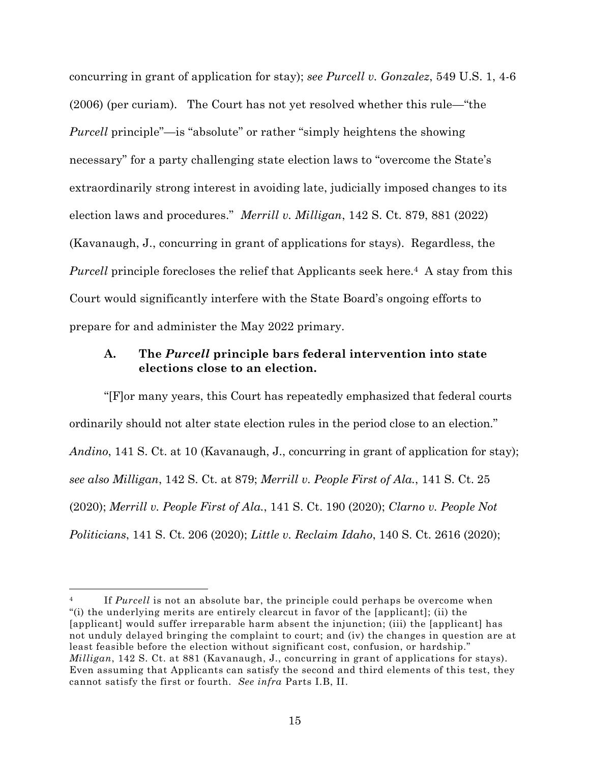concurring in grant of application for stay); *see Purcell v. Gonzalez*, 549 U.S. 1, 4-6 (2006) (per curiam). The Court has not yet resolved whether this rule—"the *Purcell* principle"—is "absolute" or rather "simply heightens the showing necessary" for a party challenging state election laws to "overcome the State's extraordinarily strong interest in avoiding late, judicially imposed changes to its election laws and procedures." *Merrill v. Milligan*, 142 S. Ct. 879, 881 (2022) (Kavanaugh, J., concurring in grant of applications for stays). Regardless, the *Purcell* principle forecloses the relief that Applicants seek here.<sup>4</sup> A stay from this Court would significantly interfere with the State Board's ongoing efforts to prepare for and administer the May 2022 primary.

### **A. The** *Purcell* **principle bars federal intervention into state elections close to an election.**

"[F]or many years, this Court has repeatedly emphasized that federal courts ordinarily should not alter state election rules in the period close to an election." *Andino*, 141 S. Ct. at 10 (Kavanaugh, J., concurring in grant of application for stay); *see also Milligan*, 142 S. Ct. at 879; *Merrill v. People First of Ala.*, 141 S. Ct. 25 (2020); *Merrill v. People First of Ala.*, 141 S. Ct. 190 (2020); *Clarno v. People Not Politicians*, 141 S. Ct. 206 (2020); *Little v. Reclaim Idaho*, 140 S. Ct. 2616 (2020);

 <sup>4</sup> If *Purcell* is not an absolute bar, the principle could perhaps be overcome when "(i) the underlying merits are entirely clearcut in favor of the [applicant]; (ii) the [applicant] would suffer irreparable harm absent the injunction; (iii) the [applicant] has not unduly delayed bringing the complaint to court; and (iv) the changes in question are at least feasible before the election without significant cost, confusion, or hardship." *Milligan*, 142 S. Ct. at 881 (Kavanaugh, J., concurring in grant of applications for stays). Even assuming that Applicants can satisfy the second and third elements of this test, they cannot satisfy the first or fourth. *See infra* Parts I.B, II.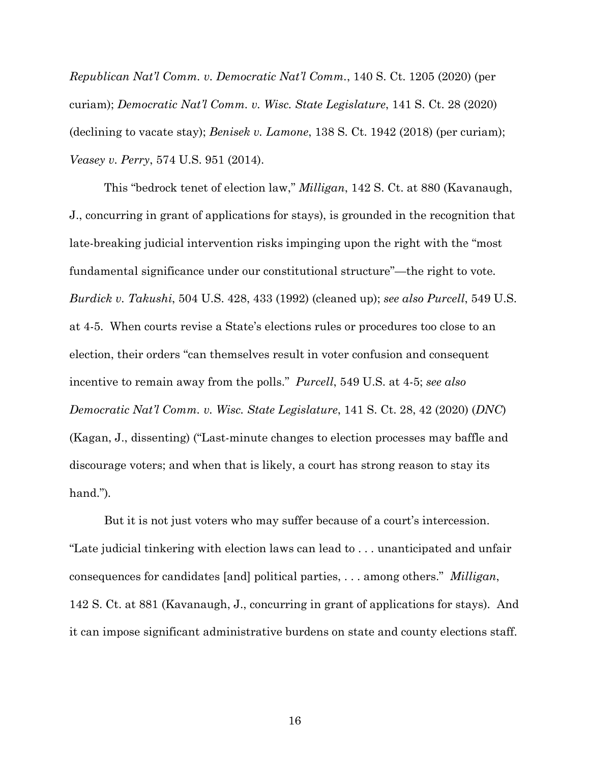*Republican Nat'l Comm. v. Democratic Nat'l Comm.*, 140 S. Ct. 1205 (2020) (per curiam); *Democratic Nat'l Comm. v. Wisc. State Legislature*, 141 S. Ct. 28 (2020) (declining to vacate stay); *Benisek v. Lamone*, 138 S. Ct. 1942 (2018) (per curiam); *Veasey v. Perry*, 574 U.S. 951 (2014).

This "bedrock tenet of election law," *Milligan*, 142 S. Ct. at 880 (Kavanaugh, J., concurring in grant of applications for stays), is grounded in the recognition that late-breaking judicial intervention risks impinging upon the right with the "most fundamental significance under our constitutional structure"—the right to vote. *Burdick v. Takushi*, 504 U.S. 428, 433 (1992) (cleaned up); *see also Purcell*, 549 U.S. at 4-5. When courts revise a State's elections rules or procedures too close to an election, their orders "can themselves result in voter confusion and consequent incentive to remain away from the polls." *Purcell*, 549 U.S. at 4-5; *see also Democratic Nat'l Comm. v. Wisc. State Legislature*, 141 S. Ct. 28, 42 (2020) (*DNC*) (Kagan, J., dissenting) ("Last-minute changes to election processes may baffle and discourage voters; and when that is likely, a court has strong reason to stay its hand.")*.*

But it is not just voters who may suffer because of a court's intercession. "Late judicial tinkering with election laws can lead to . . . unanticipated and unfair consequences for candidates [and] political parties, . . . among others." *Milligan*, 142 S. Ct. at 881 (Kavanaugh, J., concurring in grant of applications for stays). And it can impose significant administrative burdens on state and county elections staff.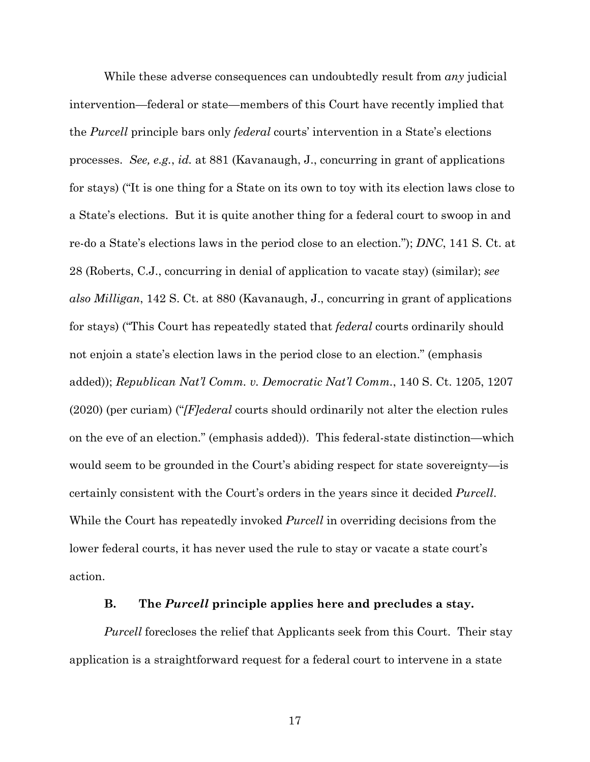While these adverse consequences can undoubtedly result from *any* judicial intervention—federal or state—members of this Court have recently implied that the *Purcell* principle bars only *federal* courts' intervention in a State's elections processes. *See, e.g.*, *id.* at 881 (Kavanaugh, J., concurring in grant of applications for stays) ("It is one thing for a State on its own to toy with its election laws close to a State's elections. But it is quite another thing for a federal court to swoop in and re-do a State's elections laws in the period close to an election."); *DNC*, 141 S. Ct. at 28 (Roberts, C.J., concurring in denial of application to vacate stay) (similar); *see also Milligan*, 142 S. Ct. at 880 (Kavanaugh, J., concurring in grant of applications for stays) ("This Court has repeatedly stated that *federal* courts ordinarily should not enjoin a state's election laws in the period close to an election." (emphasis added)); *Republican Nat'l Comm. v. Democratic Nat'l Comm.*, 140 S. Ct. 1205, 1207 (2020) (per curiam) ("*[F]ederal* courts should ordinarily not alter the election rules on the eve of an election." (emphasis added)). This federal-state distinction—which would seem to be grounded in the Court's abiding respect for state sovereignty—is certainly consistent with the Court's orders in the years since it decided *Purcell*. While the Court has repeatedly invoked *Purcell* in overriding decisions from the lower federal courts, it has never used the rule to stay or vacate a state court's action.

#### **B. The** *Purcell* **principle applies here and precludes a stay.**

*Purcell* forecloses the relief that Applicants seek from this Court. Their stay application is a straightforward request for a federal court to intervene in a state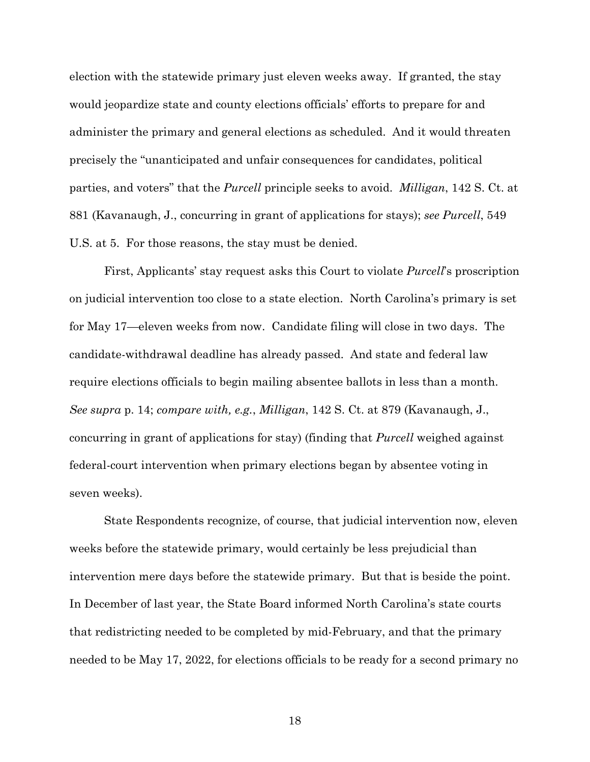election with the statewide primary just eleven weeks away. If granted, the stay would jeopardize state and county elections officials' efforts to prepare for and administer the primary and general elections as scheduled. And it would threaten precisely the "unanticipated and unfair consequences for candidates, political parties, and voters" that the *Purcell* principle seeks to avoid. *Milligan*, 142 S. Ct. at 881 (Kavanaugh, J., concurring in grant of applications for stays); *see Purcell*, 549 U.S. at 5. For those reasons, the stay must be denied.

First, Applicants' stay request asks this Court to violate *Purcell*'s proscription on judicial intervention too close to a state election. North Carolina's primary is set for May 17—eleven weeks from now. Candidate filing will close in two days. The candidate-withdrawal deadline has already passed. And state and federal law require elections officials to begin mailing absentee ballots in less than a month. *See supra* p. 14; *compare with, e.g.*, *Milligan*, 142 S. Ct. at 879 (Kavanaugh, J., concurring in grant of applications for stay) (finding that *Purcell* weighed against federal-court intervention when primary elections began by absentee voting in seven weeks).

State Respondents recognize, of course, that judicial intervention now, eleven weeks before the statewide primary, would certainly be less prejudicial than intervention mere days before the statewide primary. But that is beside the point. In December of last year, the State Board informed North Carolina's state courts that redistricting needed to be completed by mid-February, and that the primary needed to be May 17, 2022, for elections officials to be ready for a second primary no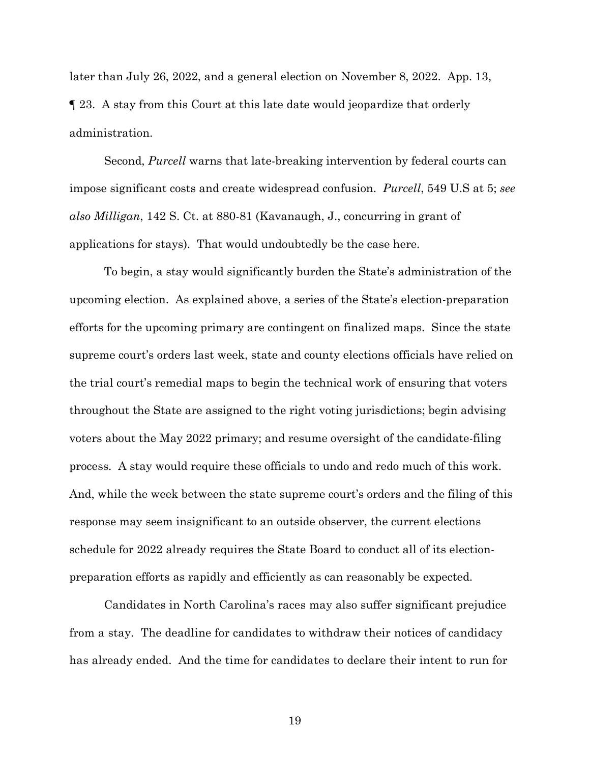later than July 26, 2022, and a general election on November 8, 2022. App. 13, ¶ 23. A stay from this Court at this late date would jeopardize that orderly administration.

Second, *Purcell* warns that late-breaking intervention by federal courts can impose significant costs and create widespread confusion. *Purcell*, 549 U.S at 5; *see also Milligan*, 142 S. Ct. at 880-81 (Kavanaugh, J., concurring in grant of applications for stays). That would undoubtedly be the case here.

To begin, a stay would significantly burden the State's administration of the upcoming election. As explained above, a series of the State's election-preparation efforts for the upcoming primary are contingent on finalized maps. Since the state supreme court's orders last week, state and county elections officials have relied on the trial court's remedial maps to begin the technical work of ensuring that voters throughout the State are assigned to the right voting jurisdictions; begin advising voters about the May 2022 primary; and resume oversight of the candidate-filing process. A stay would require these officials to undo and redo much of this work. And, while the week between the state supreme court's orders and the filing of this response may seem insignificant to an outside observer, the current elections schedule for 2022 already requires the State Board to conduct all of its electionpreparation efforts as rapidly and efficiently as can reasonably be expected.

Candidates in North Carolina's races may also suffer significant prejudice from a stay. The deadline for candidates to withdraw their notices of candidacy has already ended. And the time for candidates to declare their intent to run for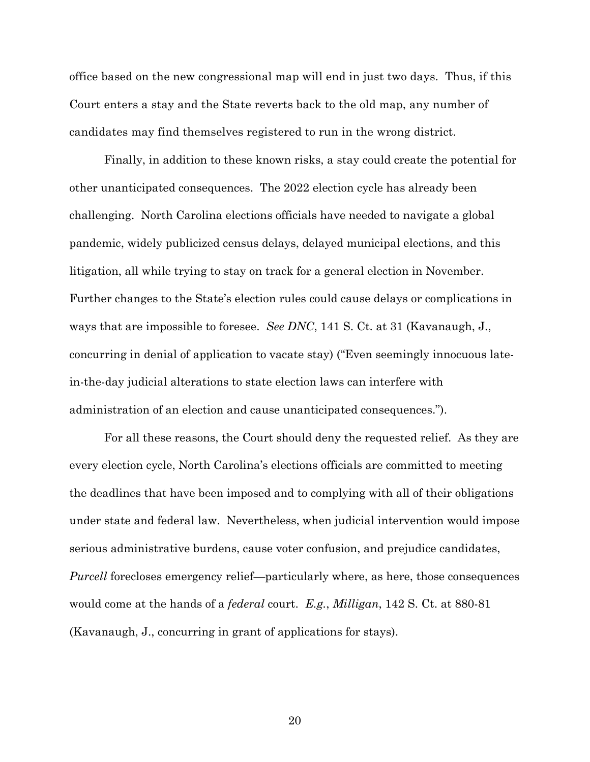office based on the new congressional map will end in just two days. Thus, if this Court enters a stay and the State reverts back to the old map, any number of candidates may find themselves registered to run in the wrong district.

Finally, in addition to these known risks, a stay could create the potential for other unanticipated consequences. The 2022 election cycle has already been challenging. North Carolina elections officials have needed to navigate a global pandemic, widely publicized census delays, delayed municipal elections, and this litigation, all while trying to stay on track for a general election in November. Further changes to the State's election rules could cause delays or complications in ways that are impossible to foresee. *See DNC*, 141 S. Ct. at 31 (Kavanaugh, J., concurring in denial of application to vacate stay) ("Even seemingly innocuous latein-the-day judicial alterations to state election laws can interfere with administration of an election and cause unanticipated consequences.").

For all these reasons, the Court should deny the requested relief. As they are every election cycle, North Carolina's elections officials are committed to meeting the deadlines that have been imposed and to complying with all of their obligations under state and federal law. Nevertheless, when judicial intervention would impose serious administrative burdens, cause voter confusion, and prejudice candidates, *Purcell* forecloses emergency relief—particularly where, as here, those consequences would come at the hands of a *federal* court. *E.g.*, *Milligan*, 142 S. Ct. at 880-81 (Kavanaugh, J., concurring in grant of applications for stays).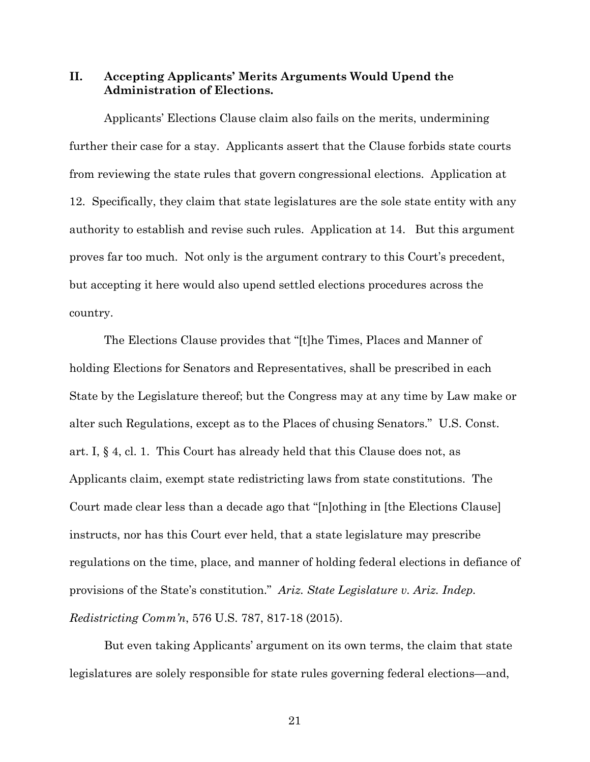**II. Accepting Applicants' Merits Arguments Would Upend the Administration of Elections.** 

Applicants' Elections Clause claim also fails on the merits, undermining further their case for a stay. Applicants assert that the Clause forbids state courts from reviewing the state rules that govern congressional elections. Application at 12. Specifically, they claim that state legislatures are the sole state entity with any authority to establish and revise such rules. Application at 14. But this argument proves far too much. Not only is the argument contrary to this Court's precedent, but accepting it here would also upend settled elections procedures across the country.

The Elections Clause provides that "[t]he Times, Places and Manner of holding Elections for Senators and Representatives, shall be prescribed in each State by the Legislature thereof; but the Congress may at any time by Law make or alter such Regulations, except as to the Places of chusing Senators." U.S. Const. art. I, § 4, cl. 1. This Court has already held that this Clause does not, as Applicants claim, exempt state redistricting laws from state constitutions. The Court made clear less than a decade ago that "[n]othing in [the Elections Clause] instructs, nor has this Court ever held, that a state legislature may prescribe regulations on the time, place, and manner of holding federal elections in defiance of provisions of the State's constitution." *Ariz. State Legislature v. Ariz. Indep. Redistricting Comm'n*, 576 U.S. 787, 817-18 (2015).

But even taking Applicants' argument on its own terms, the claim that state legislatures are solely responsible for state rules governing federal elections—and,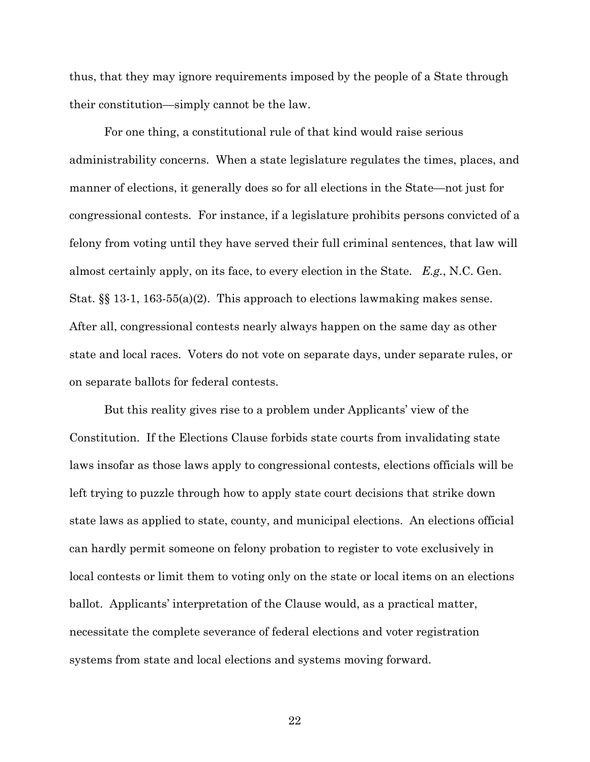thus, that they may ignore requirements imposed by the people of a State through their constitution—simply cannot be the law.

For one thing, a constitutional rule of that kind would raise serious administrability concerns. When a state legislature regulates the times, places, and manner of elections, it generally does so for all elections in the State—not just for congressional contests. For instance, if a legislature prohibits persons convicted of a felony from voting until they have served their full criminal sentences, that law will almost certainly apply, on its face, to every election in the State. *E.g.*, N.C. Gen. Stat. §§ 13-1, 163-55(a)(2). This approach to elections lawmaking makes sense. After all, congressional contests nearly always happen on the same day as other state and local races. Voters do not vote on separate days, under separate rules, or on separate ballots for federal contests.

But this reality gives rise to a problem under Applicants' view of the Constitution. If the Elections Clause forbids state courts from invalidating state laws insofar as those laws apply to congressional contests, elections officials will be left trying to puzzle through how to apply state court decisions that strike down state laws as applied to state, county, and municipal elections. An elections official can hardly permit someone on felony probation to register to vote exclusively in local contests or limit them to voting only on the state or local items on an elections ballot. Applicants' interpretation of the Clause would, as a practical matter, necessitate the complete severance of federal elections and voter registration systems from state and local elections and systems moving forward.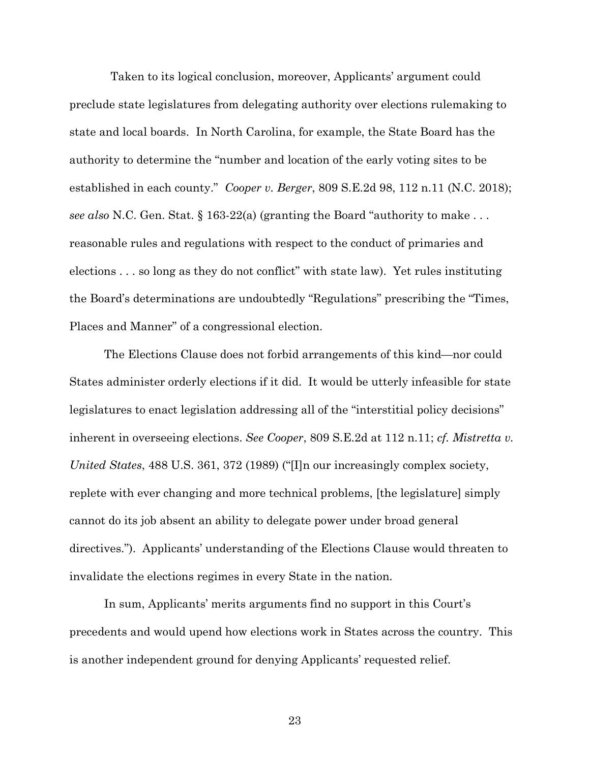Taken to its logical conclusion, moreover, Applicants' argument could preclude state legislatures from delegating authority over elections rulemaking to state and local boards. In North Carolina, for example, the State Board has the authority to determine the "number and location of the early voting sites to be established in each county." *Cooper v. Berger*, 809 S.E.2d 98, 112 n.11 (N.C. 2018); *see also* N.C. Gen. Stat. § 163-22(a) (granting the Board "authority to make . . . reasonable rules and regulations with respect to the conduct of primaries and elections . . . so long as they do not conflict" with state law). Yet rules instituting the Board's determinations are undoubtedly "Regulations" prescribing the "Times, Places and Manner" of a congressional election.

The Elections Clause does not forbid arrangements of this kind—nor could States administer orderly elections if it did. It would be utterly infeasible for state legislatures to enact legislation addressing all of the "interstitial policy decisions" inherent in overseeing elections. *See Cooper*, 809 S.E.2d at 112 n.11; *cf. Mistretta v. United States*, 488 U.S. 361, 372 (1989) ("[I]n our increasingly complex society, replete with ever changing and more technical problems, [the legislature] simply cannot do its job absent an ability to delegate power under broad general directives."). Applicants' understanding of the Elections Clause would threaten to invalidate the elections regimes in every State in the nation.

In sum, Applicants' merits arguments find no support in this Court's precedents and would upend how elections work in States across the country. This is another independent ground for denying Applicants' requested relief.